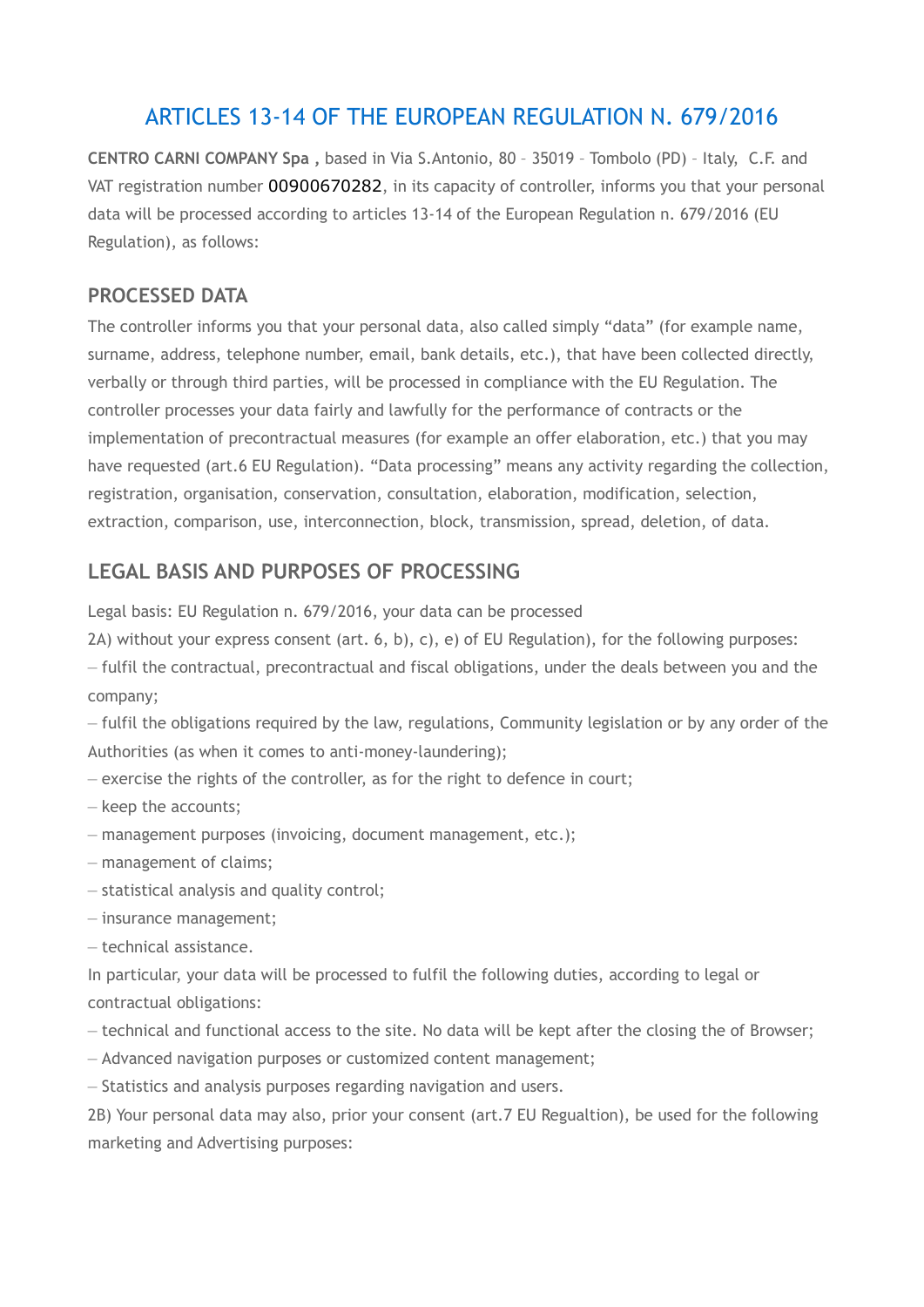# ARTICLES 13-14 OF THE EUROPEAN REGULATION N. 679/2016

**CENTRO CARNI COMPANY Spa ,** based in Via S.Antonio, 80 – 35019 – Tombolo (PD) – Italy, C.F. and VAT registration number 00900670282, in its capacity of controller, informs you that your personal data will be processed according to articles 13-14 of the European Regulation n. 679/2016 (EU Regulation), as follows:

#### **PROCESSED DATA**

The controller informs you that your personal data, also called simply "data" (for example name, surname, address, telephone number, email, bank details, etc.), that have been collected directly, verbally or through third parties, will be processed in compliance with the EU Regulation. The controller processes your data fairly and lawfully for the performance of contracts or the implementation of precontractual measures (for example an offer elaboration, etc.) that you may have requested (art.6 EU Regulation). "Data processing" means any activity regarding the collection, registration, organisation, conservation, consultation, elaboration, modification, selection, extraction, comparison, use, interconnection, block, transmission, spread, deletion, of data.

## **LEGAL BASIS AND PURPOSES OF PROCESSING**

Legal basis: EU Regulation n. 679/2016, your data can be processed

2A) without your express consent (art. 6, b), c), e) of EU Regulation), for the following purposes:

– fulfil the contractual, precontractual and fiscal obligations, under the deals between you and the company;

– fulfil the obligations required by the law, regulations, Community legislation or by any order of the Authorities (as when it comes to anti-money-laundering);

- exercise the rights of the controller, as for the right to defence in court;
- keep the accounts;
- management purposes (invoicing, document management, etc.);
- management of claims;
- statistical analysis and quality control;
- insurance management;
- technical assistance.

In particular, your data will be processed to fulfil the following duties, according to legal or contractual obligations:

- technical and functional access to the site. No data will be kept after the closing the of Browser;
- Advanced navigation purposes or customized content management;
- Statistics and analysis purposes regarding navigation and users.

2B) Your personal data may also, prior your consent (art.7 EU Regualtion), be used for the following marketing and Advertising purposes: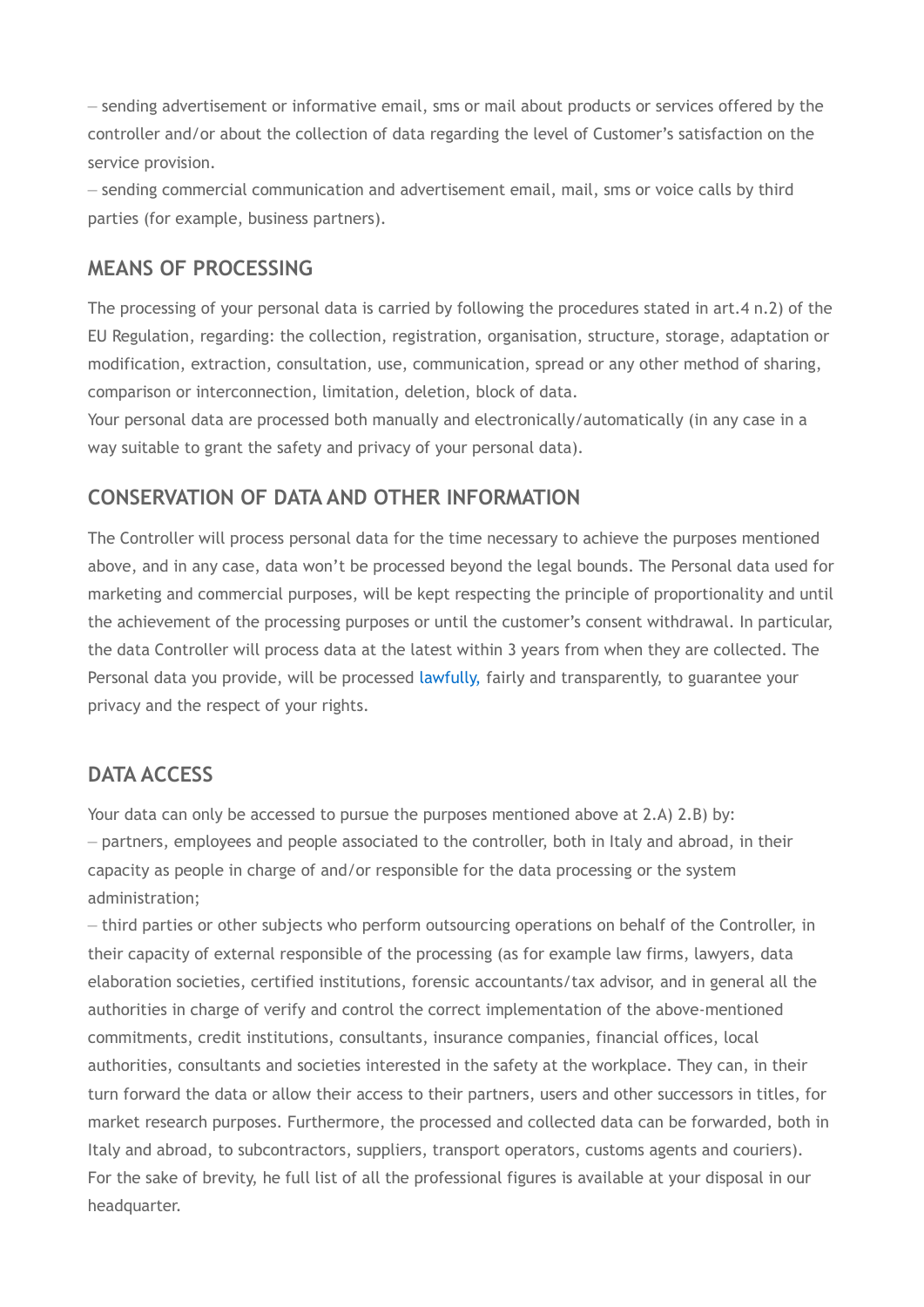– sending advertisement or informative email, sms or mail about products or services offered by the controller and/or about the collection of data regarding the level of Customer's satisfaction on the service provision.

– sending commercial communication and advertisement email, mail, sms or voice calls by third parties (for example, business partners).

### **MEANS OF PROCESSING**

The processing of your personal data is carried by following the procedures stated in art.4 n.2) of the EU Regulation, regarding: the collection, registration, organisation, structure, storage, adaptation or modification, extraction, consultation, use, communication, spread or any other method of sharing, comparison or interconnection, limitation, deletion, block of data.

Your personal data are processed both manually and electronically/automatically (in any case in a way suitable to grant the safety and privacy of your personal data).

### **CONSERVATION OF DATA AND OTHER INFORMATION**

The Controller will process personal data for the time necessary to achieve the purposes mentioned above, and in any case, data won't be processed beyond the legal bounds. The Personal data used for marketing and commercial purposes, will be kept respecting the principle of proportionality and until the achievement of the processing purposes or until the customer's consent withdrawal. In particular, the data Controller will process data at the latest within 3 years from when they are collected. The Personal data you provide, will be processed [lawfully,](http://context.reverso.net/traduzione/inglese-italiano/lawfully%2C) fairly and transparently, to guarantee your privacy and the respect of your rights.

#### **DATA ACCESS**

Your data can only be accessed to pursue the purposes mentioned above at 2.A) 2.B) by: – partners, employees and people associated to the controller, both in Italy and abroad, in their capacity as people in charge of and/or responsible for the data processing or the system administration;

– third parties or other subjects who perform outsourcing operations on behalf of the Controller, in their capacity of external responsible of the processing (as for example law firms, lawyers, data elaboration societies, certified institutions, forensic accountants/tax advisor, and in general all the authorities in charge of verify and control the correct implementation of the above-mentioned commitments, credit institutions, consultants, insurance companies, financial offices, local authorities, consultants and societies interested in the safety at the workplace. They can, in their turn forward the data or allow their access to their partners, users and other successors in titles, for market research purposes. Furthermore, the processed and collected data can be forwarded, both in Italy and abroad, to subcontractors, suppliers, transport operators, customs agents and couriers). For the sake of brevity, he full list of all the professional figures is available at your disposal in our headquarter.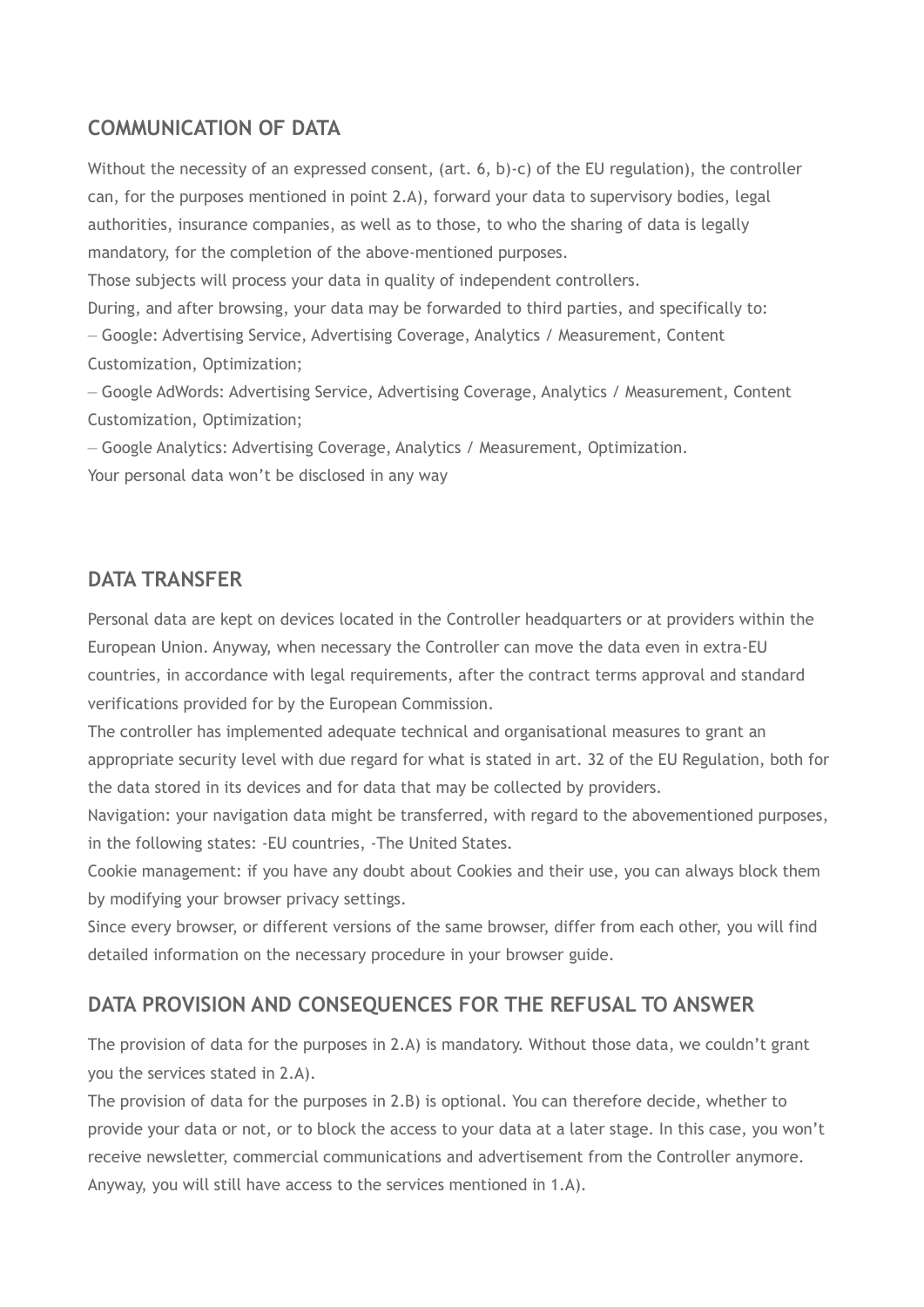## **COMMUNICATION OF DATA**

Without the necessity of an expressed consent, (art. 6, b)-c) of the EU regulation), the controller can, for the purposes mentioned in point 2.A), forward your data to supervisory bodies, legal authorities, insurance companies, as well as to those, to who the sharing of data is legally mandatory, for the completion of the above-mentioned purposes.

Those subjects will process your data in quality of independent controllers.

During, and after browsing, your data may be forwarded to third parties, and specifically to: – Google: Advertising Service, Advertising Coverage, Analytics / Measurement, Content Customization, Optimization;

– Google AdWords: Advertising Service, Advertising Coverage, Analytics / Measurement, Content Customization, Optimization;

– Google Analytics: Advertising Coverage, Analytics / Measurement, Optimization.

Your personal data won't be disclosed in any way

#### **DATA TRANSFER**

Personal data are kept on devices located in the Controller headquarters or at providers within the European Union. Anyway, when necessary the Controller can move the data even in extra-EU countries, in accordance with legal requirements, after the contract terms approval and standard verifications provided for by the European Commission.

The controller has implemented adequate technical and organisational measures to grant an appropriate security level with due regard for what is stated in art. 32 of the EU Regulation, both for the data stored in its devices and for data that may be collected by providers.

Navigation: your navigation data might be transferred, with regard to the abovementioned purposes, in the following states: -EU countries, -The United States.

Cookie management: if you have any doubt about Cookies and their use, you can always block them by modifying your browser privacy settings.

Since every browser, or different versions of the same browser, differ from each other, you will find detailed information on the necessary procedure in your browser guide.

## **DATA PROVISION AND CONSEQUENCES FOR THE REFUSAL TO ANSWER**

The provision of data for the purposes in 2.A) is mandatory. Without those data, we couldn't grant you the services stated in 2.A).

The provision of data for the purposes in 2.B) is optional. You can therefore decide, whether to provide your data or not, or to block the access to your data at a later stage. In this case, you won't receive newsletter, commercial communications and advertisement from the Controller anymore. Anyway, you will still have access to the services mentioned in 1.A).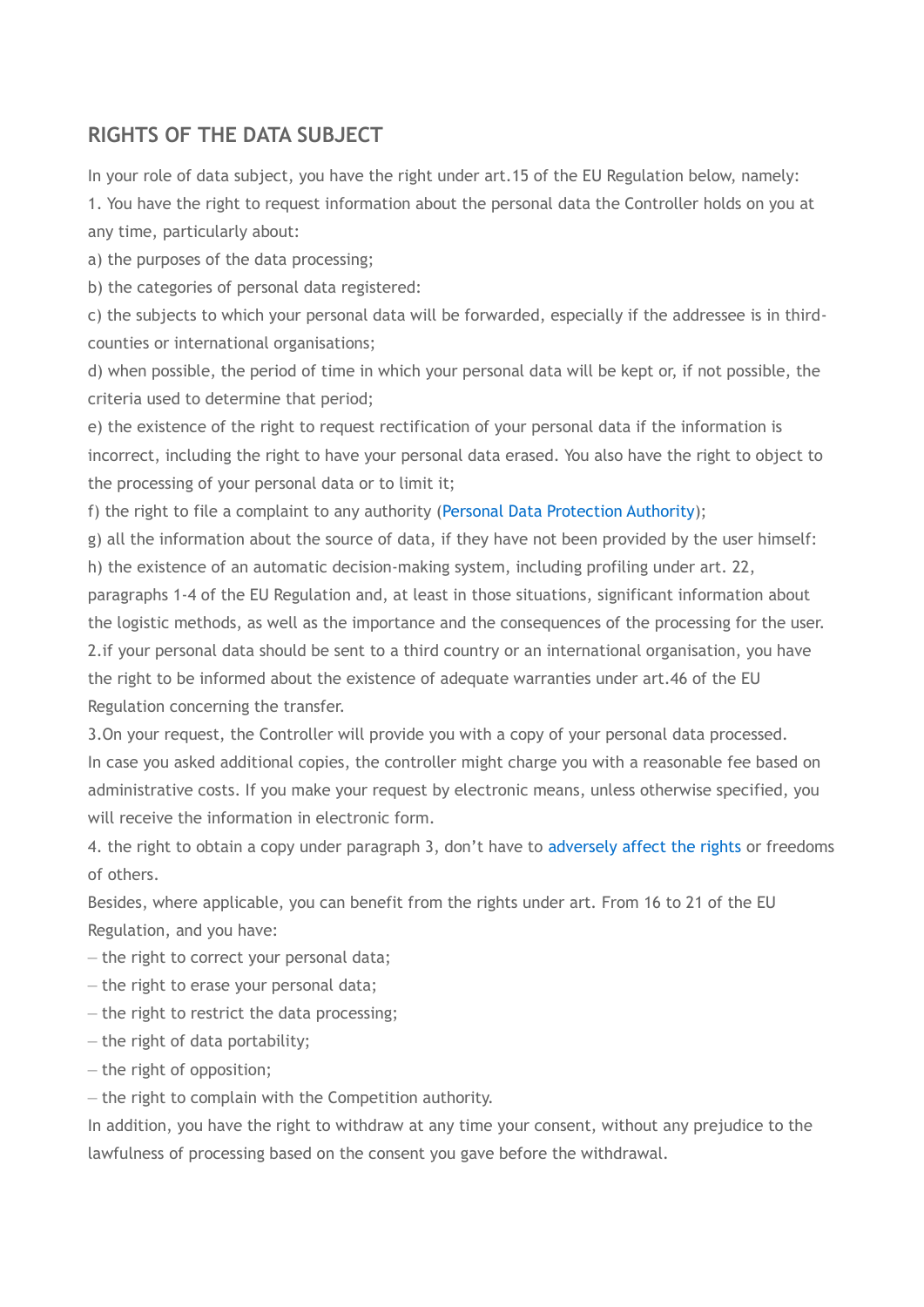## **RIGHTS OF THE DATA SUBJECT**

In your role of data subject, you have the right under art.15 of the EU Regulation below, namely:

1. You have the right to request information about the personal data the Controller holds on you at any time, particularly about:

a) the purposes of the data processing;

b) the categories of personal data registered:

c) the subjects to which your personal data will be forwarded, especially if the addressee is in thirdcounties or international organisations;

d) when possible, the period of time in which your personal data will be kept or, if not possible, the criteria used to determine that period;

e) the existence of the right to request rectification of your personal data if the information is incorrect, including the right to have your personal data erased. You also have the right to object to the processing of your personal data or to limit it;

f) the right to file a complaint to any authority [\(Personal Data Protection Authority\)](http://context.reverso.net/traduzione/inglese-italiano/Personal+Data+Protection+Authority);

g) all the information about the source of data, if they have not been provided by the user himself:

h) the existence of an automatic decision-making system, including profiling under art. 22,

paragraphs 1-4 of the EU Regulation and, at least in those situations, significant information about the logistic methods, as well as the importance and the consequences of the processing for the user. 2.if your personal data should be sent to a third country or an international organisation, you have the right to be informed about the existence of adequate warranties under art.46 of the EU Regulation concerning the transfer.

3.On your request, the Controller will provide you with a copy of your personal data processed. In case you asked additional copies, the controller might charge you with a reasonable fee based on administrative costs. If you make your request by electronic means, unless otherwise specified, you will receive the information in electronic form.

4. the right to obtain a copy under paragraph 3, don't have to [adversely affect the rights](http://context.reverso.net/traduzione/inglese-italiano/adversely+affect+the+rights) or freedoms of others.

Besides, where applicable, you can benefit from the rights under art. From 16 to 21 of the EU Regulation, and you have:

– the right to correct your personal data;

– the right to erase your personal data;

– the right to restrict the data processing;

– the right of data portability;

– the right of opposition;

– the right to complain with the Competition authority.

In addition, you have the right to withdraw at any time your consent, without any prejudice to the lawfulness of processing based on the consent you gave before the withdrawal.